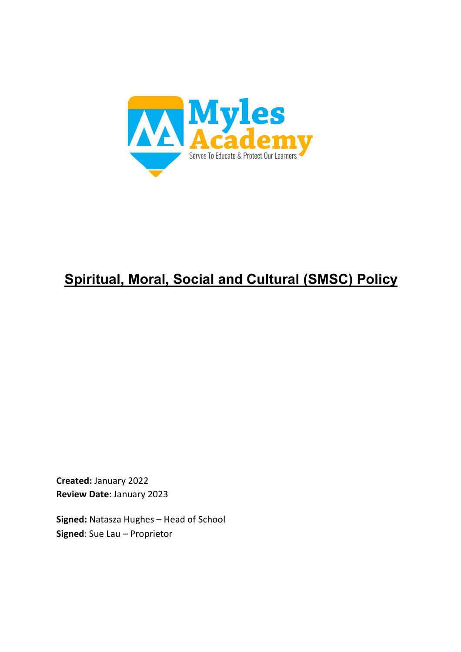

# **Spiritual, Moral, Social and Cultural (SMSC) Policy**

**Created:** January 2022 **Review Date**: January 2023

**Signed:** Natasza Hughes – Head of School **Signed**: Sue Lau – Proprietor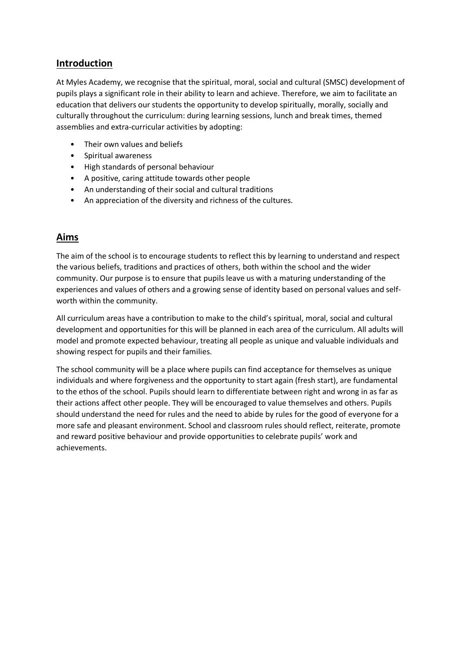# **Introduction**

At Myles Academy, we recognise that the spiritual, moral, social and cultural (SMSC) development of pupils plays a significant role in their ability to learn and achieve. Therefore, we aim to facilitate an education that delivers our students the opportunity to develop spiritually, morally, socially and culturally throughout the curriculum: during learning sessions, lunch and break times, themed assemblies and extra-curricular activities by adopting:

- Their own values and beliefs
- Spiritual awareness
- High standards of personal behaviour
- A positive, caring attitude towards other people
- An understanding of their social and cultural traditions
- An appreciation of the diversity and richness of the cultures.

## **Aims**

The aim of the school is to encourage students to reflect this by learning to understand and respect the various beliefs, traditions and practices of others, both within the school and the wider community. Our purpose is to ensure that pupils leave us with a maturing understanding of the experiences and values of others and a growing sense of identity based on personal values and selfworth within the community.

All curriculum areas have a contribution to make to the child's spiritual, moral, social and cultural development and opportunities for this will be planned in each area of the curriculum. All adults will model and promote expected behaviour, treating all people as unique and valuable individuals and showing respect for pupils and their families.

The school community will be a place where pupils can find acceptance for themselves as unique individuals and where forgiveness and the opportunity to start again (fresh start), are fundamental to the ethos of the school. Pupils should learn to differentiate between right and wrong in as far as their actions affect other people. They will be encouraged to value themselves and others. Pupils should understand the need for rules and the need to abide by rules for the good of everyone for a more safe and pleasant environment. School and classroom rules should reflect, reiterate, promote and reward positive behaviour and provide opportunities to celebrate pupils' work and achievements.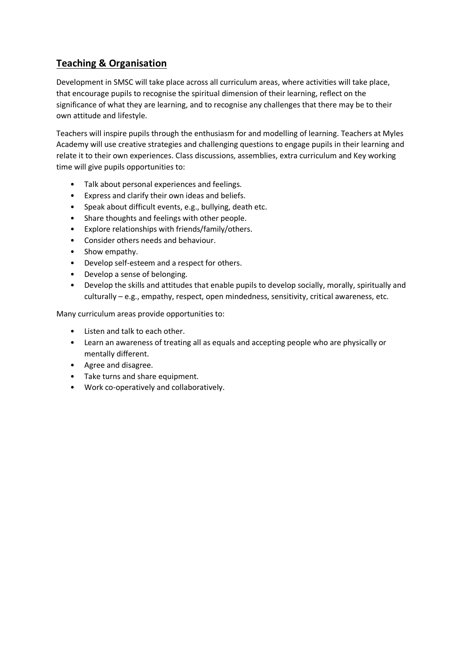# **Teaching & Organisation**

Development in SMSC will take place across all curriculum areas, where activities will take place, that encourage pupils to recognise the spiritual dimension of their learning, reflect on the significance of what they are learning, and to recognise any challenges that there may be to their own attitude and lifestyle.

Teachers will inspire pupils through the enthusiasm for and modelling of learning. Teachers at Myles Academy will use creative strategies and challenging questions to engage pupils in their learning and relate it to their own experiences. Class discussions, assemblies, extra curriculum and Key working time will give pupils opportunities to:

- Talk about personal experiences and feelings.
- Express and clarify their own ideas and beliefs.
- Speak about difficult events, e.g., bullying, death etc.
- Share thoughts and feelings with other people.
- Explore relationships with friends/family/others.
- Consider others needs and behaviour.
- Show empathy.
- Develop self-esteem and a respect for others.
- Develop a sense of belonging.
- Develop the skills and attitudes that enable pupils to develop socially, morally, spiritually and culturally – e.g., empathy, respect, open mindedness, sensitivity, critical awareness, etc.

Many curriculum areas provide opportunities to:

- Listen and talk to each other.
- Learn an awareness of treating all as equals and accepting people who are physically or mentally different.
- Agree and disagree.
- Take turns and share equipment.
- Work co-operatively and collaboratively.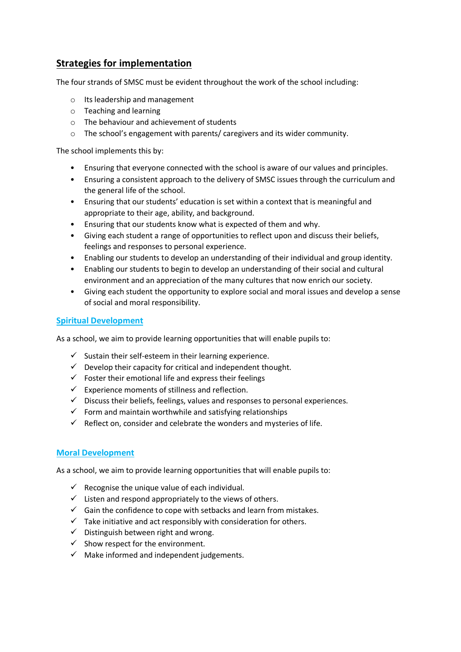# **Strategies for implementation**

The four strands of SMSC must be evident throughout the work of the school including:

- o Its leadership and management
- o Teaching and learning
- o The behaviour and achievement of students
- o The school's engagement with parents/ caregivers and its wider community.

The school implements this by:

- Ensuring that everyone connected with the school is aware of our values and principles.
- Ensuring a consistent approach to the delivery of SMSC issues through the curriculum and the general life of the school.
- Ensuring that our students' education is set within a context that is meaningful and appropriate to their age, ability, and background.
- Ensuring that our students know what is expected of them and why.
- Giving each student a range of opportunities to reflect upon and discuss their beliefs, feelings and responses to personal experience.
- Enabling our students to develop an understanding of their individual and group identity.
- Enabling our students to begin to develop an understanding of their social and cultural environment and an appreciation of the many cultures that now enrich our society.
- Giving each student the opportunity to explore social and moral issues and develop a sense of social and moral responsibility.

#### **Spiritual Development**

As a school, we aim to provide learning opportunities that will enable pupils to:

- $\checkmark$  Sustain their self-esteem in their learning experience.
- $\checkmark$  Develop their capacity for critical and independent thought.
- $\checkmark$  Foster their emotional life and express their feelings
- $\checkmark$  Experience moments of stillness and reflection.
- $\checkmark$  Discuss their beliefs, feelings, values and responses to personal experiences.
- $\checkmark$  Form and maintain worthwhile and satisfying relationships
- $\checkmark$  Reflect on, consider and celebrate the wonders and mysteries of life.

#### **Moral Development**

As a school, we aim to provide learning opportunities that will enable pupils to:

- $\checkmark$  Recognise the unique value of each individual.
- $\checkmark$  Listen and respond appropriately to the views of others.
- $\checkmark$  Gain the confidence to cope with setbacks and learn from mistakes.
- $\checkmark$  Take initiative and act responsibly with consideration for others.
- $\checkmark$  Distinguish between right and wrong.
- $\checkmark$  Show respect for the environment.
- $\checkmark$  Make informed and independent judgements.